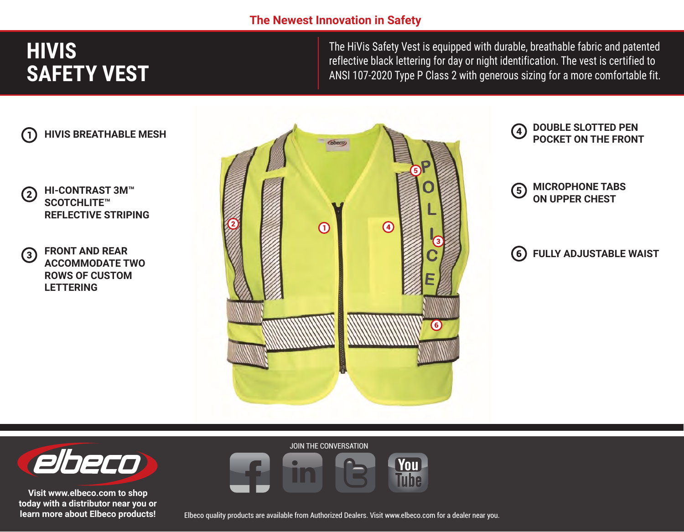### **The Newest Innovation in Safety**

# **HIVIS SAFETY VEST**

The HiVis Safety Vest is equipped with durable, breathable fabric and patented reflective black lettering for day or night identification. The vest is certified to ANSI 107-2020 Type P Class 2 with generous sizing for a more comfortable fit.

 $\left( 4\right)$ 



- **HI-CONTRAST 3M™**  $\left( 2\right)$ **SCOTCHLITE™ REFLECTIVE STRIPING**
- **FRONT AND REAR**   $(3)$ **ACCOMMODATE TWO ROWS OF CUSTOM LETTERING**





**DOUBLE SLOTTED PEN POCKET ON THE FRONT**

#### **6 FULLY ADJUSTABLE WAIST**



**Visit www.elbeco.com to shop today with a distributor near you or learn more about Elbeco products!**

Elbeco quality products are available from Authorized Dealers. Visit www.elbeco.com for a dealer near you.

**You Tube** 

JOIN THE CONVERSATION